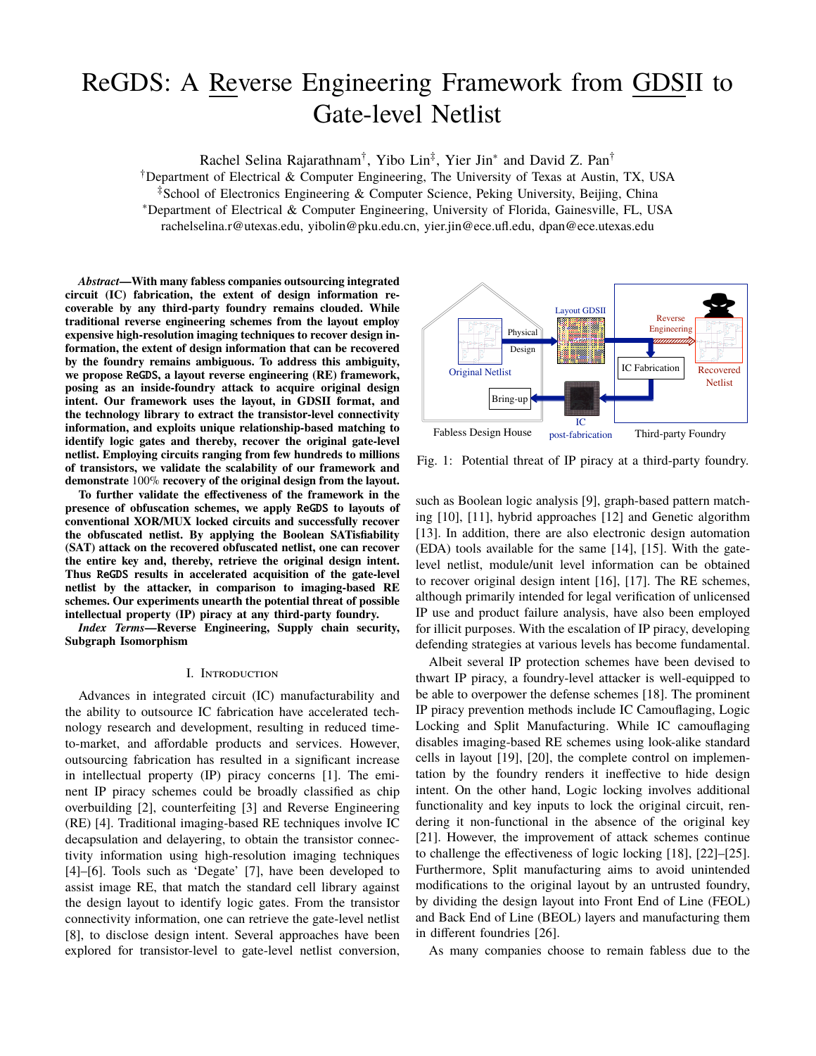# ReGDS: A Reverse Engineering Framework from GDSII to Gate-level Netlist

Rachel Selina Rajarathnam<sup>†</sup>, Yibo Lin<sup>‡</sup>, Yier Jin<sup>\*</sup> and David Z. Pan<sup>†</sup>

†Department of Electrical & Computer Engineering, The University of Texas at Austin, TX, USA

‡School of Electronics Engineering & Computer Science, Peking University, Beijing, China

∗Department of Electrical & Computer Engineering, University of Florida, Gainesville, FL, USA

rachelselina.r@utexas.edu, yibolin@pku.edu.cn, yier.jin@ece.ufl.edu, dpan@ece.utexas.edu

*Abstract***—With many fabless companies outsourcing integrated circuit (IC) fabrication, the extent of design information recoverable by any third-party foundry remains clouded. While traditional reverse engineering schemes from the layout employ expensive high-resolution imaging techniques to recover design information, the extent of design information that can be recovered by the foundry remains ambiguous. To address this ambiguity, we propose** ReGDS**, a layout reverse engineering (RE) framework, posing as an inside-foundry attack to acquire original design intent. Our framework uses the layout, in GDSII format, and the technology library to extract the transistor-level connectivity information, and exploits unique relationship-based matching to identify logic gates and thereby, recover the original gate-level netlist. Employing circuits ranging from few hundreds to millions of transistors, we validate the scalability of our framework and demonstrate** 100% **recovery of the original design from the layout.**

**To further validate the effectiveness of the framework in the presence of obfuscation schemes, we apply** ReGDS **to layouts of conventional XOR/MUX locked circuits and successfully recover the obfuscated netlist. By applying the Boolean SATisfiability (SAT) attack on the recovered obfuscated netlist, one can recover the entire key and, thereby, retrieve the original design intent. Thus** ReGDS **results in accelerated acquisition of the gate-level netlist by the attacker, in comparison to imaging-based RE schemes. Our experiments unearth the potential threat of possible intellectual property (IP) piracy at any third-party foundry.**

*Index Terms***—Reverse Engineering, Supply chain security, Subgraph Isomorphism**

#### I. Introduction

Advances in integrated circuit (IC) manufacturability and the ability to outsource IC fabrication have accelerated technology research and development, resulting in reduced timeto-market, and affordable products and services. However, outsourcing fabrication has resulted in a significant increase in intellectual property (IP) piracy concerns [1]. The eminent IP piracy schemes could be broadly classified as chip overbuilding [2], counterfeiting [3] and Reverse Engineering (RE) [4]. Traditional imaging-based RE techniques involve IC decapsulation and delayering, to obtain the transistor connectivity information using high-resolution imaging techniques [4]–[6]. Tools such as 'Degate' [7], have been developed to assist image RE, that match the standard cell library against the design layout to identify logic gates. From the transistor connectivity information, one can retrieve the gate-level netlist [8], to disclose design intent. Several approaches have been explored for transistor-level to gate-level netlist conversion,



Fig. 1: Potential threat of IP piracy at a third-party foundry.

such as Boolean logic analysis [9], graph-based pattern matching [10], [11], hybrid approaches [12] and Genetic algorithm [13]. In addition, there are also electronic design automation (EDA) tools available for the same [14], [15]. With the gatelevel netlist, module/unit level information can be obtained to recover original design intent [16], [17]. The RE schemes, although primarily intended for legal verification of unlicensed IP use and product failure analysis, have also been employed for illicit purposes. With the escalation of IP piracy, developing defending strategies at various levels has become fundamental.

Albeit several IP protection schemes have been devised to thwart IP piracy, a foundry-level attacker is well-equipped to be able to overpower the defense schemes [18]. The prominent IP piracy prevention methods include IC Camouflaging, Logic Locking and Split Manufacturing. While IC camouflaging disables imaging-based RE schemes using look-alike standard cells in layout [19], [20], the complete control on implementation by the foundry renders it ineffective to hide design intent. On the other hand, Logic locking involves additional functionality and key inputs to lock the original circuit, rendering it non-functional in the absence of the original key [21]. However, the improvement of attack schemes continue to challenge the effectiveness of logic locking [18], [22]–[25]. Furthermore, Split manufacturing aims to avoid unintended modifications to the original layout by an untrusted foundry, by dividing the design layout into Front End of Line (FEOL) and Back End of Line (BEOL) layers and manufacturing them in different foundries [26].

As many companies choose to remain fabless due to the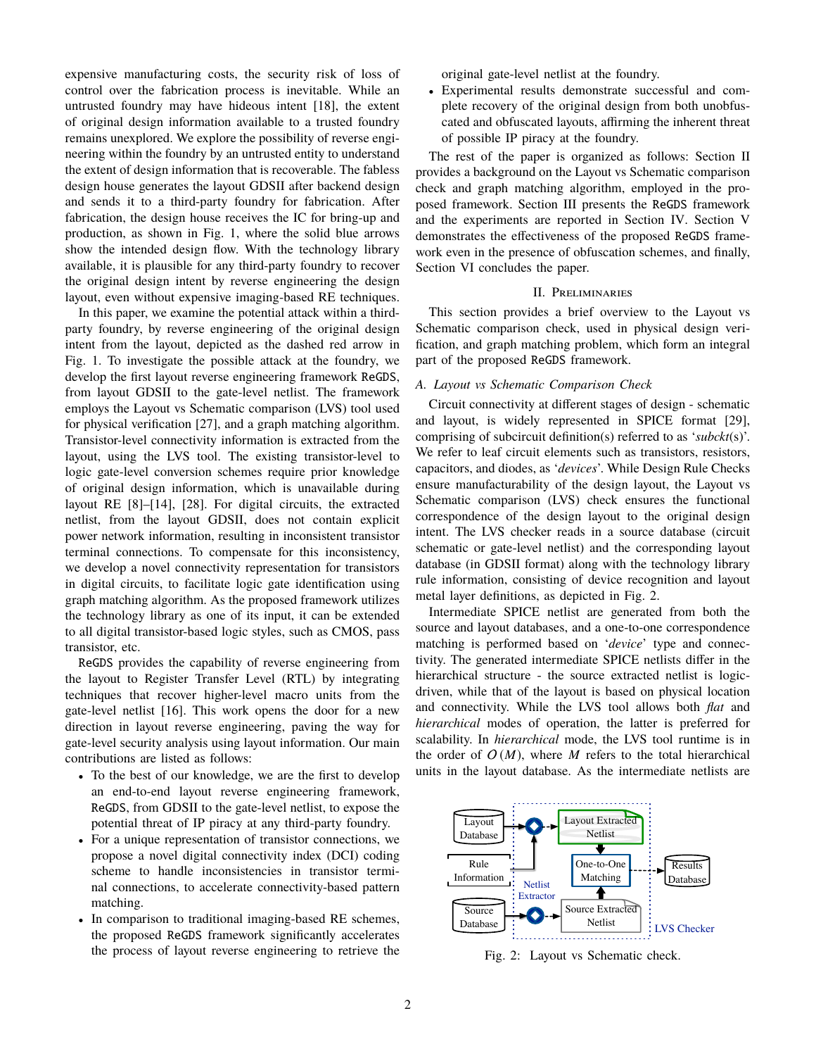expensive manufacturing costs, the security risk of loss of control over the fabrication process is inevitable. While an untrusted foundry may have hideous intent [18], the extent of original design information available to a trusted foundry remains unexplored. We explore the possibility of reverse engineering within the foundry by an untrusted entity to understand the extent of design information that is recoverable. The fabless design house generates the layout GDSII after backend design and sends it to a third-party foundry for fabrication. After fabrication, the design house receives the IC for bring-up and production, as shown in Fig. 1, where the solid blue arrows show the intended design flow. With the technology library available, it is plausible for any third-party foundry to recover the original design intent by reverse engineering the design layout, even without expensive imaging-based RE techniques.

In this paper, we examine the potential attack within a thirdparty foundry, by reverse engineering of the original design intent from the layout, depicted as the dashed red arrow in Fig. 1. To investigate the possible attack at the foundry, we develop the first layout reverse engineering framework ReGDS, from layout GDSII to the gate-level netlist. The framework employs the Layout vs Schematic comparison (LVS) tool used for physical verification [27], and a graph matching algorithm. Transistor-level connectivity information is extracted from the layout, using the LVS tool. The existing transistor-level to logic gate-level conversion schemes require prior knowledge of original design information, which is unavailable during layout RE [8]–[14], [28]. For digital circuits, the extracted netlist, from the layout GDSII, does not contain explicit power network information, resulting in inconsistent transistor terminal connections. To compensate for this inconsistency, we develop a novel connectivity representation for transistors in digital circuits, to facilitate logic gate identification using graph matching algorithm. As the proposed framework utilizes the technology library as one of its input, it can be extended to all digital transistor-based logic styles, such as CMOS, pass transistor, etc.

ReGDS provides the capability of reverse engineering from the layout to Register Transfer Level (RTL) by integrating techniques that recover higher-level macro units from the gate-level netlist [16]. This work opens the door for a new direction in layout reverse engineering, paving the way for gate-level security analysis using layout information. Our main contributions are listed as follows:

- To the best of our knowledge, we are the first to develop an end-to-end layout reverse engineering framework, ReGDS, from GDSII to the gate-level netlist, to expose the potential threat of IP piracy at any third-party foundry.
- For a unique representation of transistor connections, we propose a novel digital connectivity index (DCI) coding scheme to handle inconsistencies in transistor terminal connections, to accelerate connectivity-based pattern matching.
- In comparison to traditional imaging-based RE schemes, the proposed ReGDS framework significantly accelerates the process of layout reverse engineering to retrieve the

original gate-level netlist at the foundry.

• Experimental results demonstrate successful and complete recovery of the original design from both unobfuscated and obfuscated layouts, affirming the inherent threat of possible IP piracy at the foundry.

The rest of the paper is organized as follows: Section II provides a background on the Layout vs Schematic comparison check and graph matching algorithm, employed in the proposed framework. Section III presents the ReGDS framework and the experiments are reported in Section IV. Section V demonstrates the effectiveness of the proposed ReGDS framework even in the presence of obfuscation schemes, and finally, Section VI concludes the paper.

## II. Preliminaries

This section provides a brief overview to the Layout vs Schematic comparison check, used in physical design verification, and graph matching problem, which form an integral part of the proposed ReGDS framework.

#### *A. Layout vs Schematic Comparison Check*

Circuit connectivity at different stages of design - schematic and layout, is widely represented in SPICE format [29], comprising of subcircuit definition(s) referred to as '*subckt*(s)'. We refer to leaf circuit elements such as transistors, resistors, capacitors, and diodes, as '*devices*'. While Design Rule Checks ensure manufacturability of the design layout, the Layout vs Schematic comparison (LVS) check ensures the functional correspondence of the design layout to the original design intent. The LVS checker reads in a source database (circuit schematic or gate-level netlist) and the corresponding layout database (in GDSII format) along with the technology library rule information, consisting of device recognition and layout metal layer definitions, as depicted in Fig. 2.

Intermediate SPICE netlist are generated from both the source and layout databases, and a one-to-one correspondence matching is performed based on '*device*' type and connectivity. The generated intermediate SPICE netlists differ in the hierarchical structure - the source extracted netlist is logicdriven, while that of the layout is based on physical location and connectivity. While the LVS tool allows both *flat* and *hierarchical* modes of operation, the latter is preferred for scalability. In *hierarchical* mode, the LVS tool runtime is in the order of  $O(M)$ , where *M* refers to the total hierarchical units in the layout database. As the intermediate netlists are



Fig. 2: Layout vs Schematic check.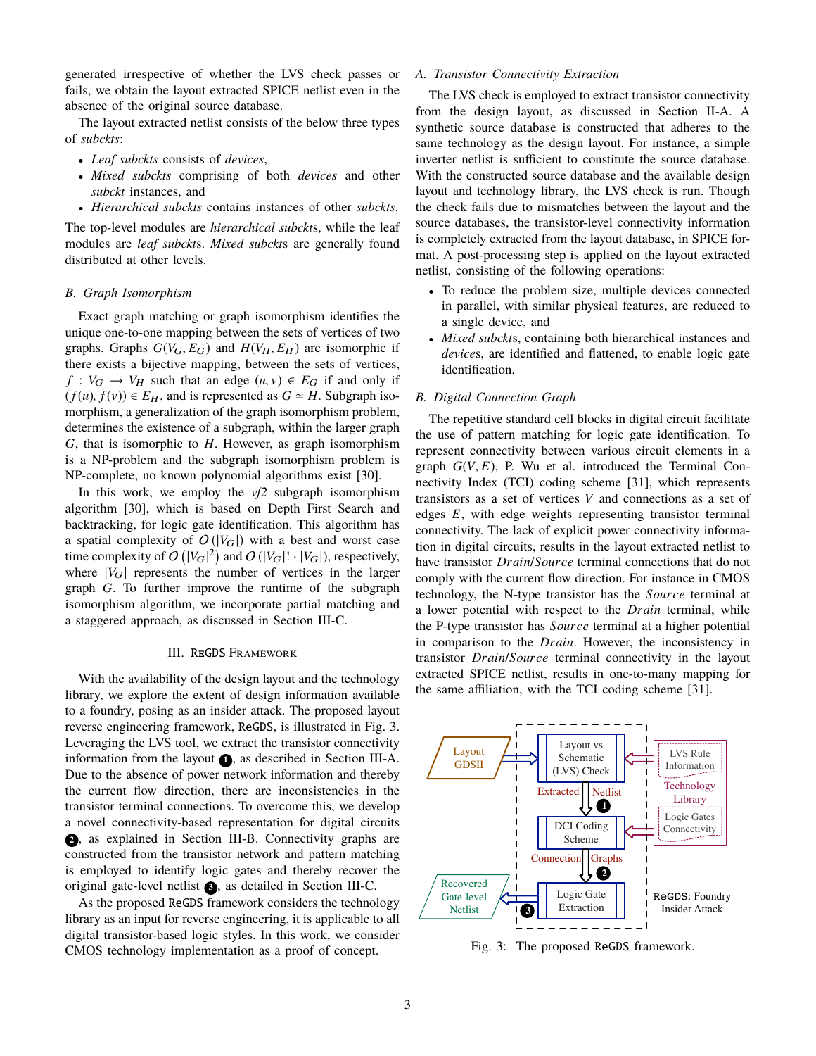generated irrespective of whether the LVS check passes or fails, we obtain the layout extracted SPICE netlist even in the absence of the original source database.

The layout extracted netlist consists of the below three types of *subckts*:

- *Leaf subckts* consists of *devices*,
- *Mixed subckts* comprising of both *devices* and other *subckt* instances, and
- *Hierarchical subckts* contains instances of other *subckts*.

The top-level modules are *hierarchical subckt*s, while the leaf modules are *leaf subckt*s. *Mixed subckt*s are generally found distributed at other levels.

## *B. Graph Isomorphism*

Exact graph matching or graph isomorphism identifies the unique one-to-one mapping between the sets of vertices of two graphs. Graphs  $G(V_G, E_G)$  and  $H(V_H, E_H)$  are isomorphic if there exists a bijective mapping, between the sets of vertices,  $f: V_G \to V_H$  such that an edge  $(u, v) \in E_G$  if and only if  $(f(u), f(v)) \in E_H$ , and is represented as  $G \simeq H$ . Subgraph isomorphism, a generalization of the graph isomorphism problem, determines the existence of a subgraph, within the larger graph *G*, that is isomorphic to *H*. However, as graph isomorphism is a NP-problem and the subgraph isomorphism problem is NP-complete, no known polynomial algorithms exist [30].

In this work, we employ the *vf2* subgraph isomorphism algorithm [30], which is based on Depth First Search and backtracking, for logic gate identification. This algorithm has a spatial complexity of  $O(|V_G|)$  with a best and worst case time complexity of  $O(|V_G|^2)$  and  $O(|V_G|! \cdot |V_G|)$ , respectively, where  $|V_G|$  represents the number of vertices in the larger graph *G*. To further improve the runtime of the subgraph isomorphism algorithm, we incorporate partial matching and a staggered approach, as discussed in Section III-C.

#### III. ReGDS Framework

With the availability of the design layout and the technology library, we explore the extent of design information available to a foundry, posing as an insider attack. The proposed layout reverse engineering framework, ReGDS, is illustrated in Fig. 3. Leveraging the LVS tool, we extract the transistor connectivity information from the layout  $\bigcirc$ , as described in Section III-A. Due to the absence of power network information and thereby the current flow direction, there are inconsistencies in the transistor terminal connections. To overcome this, we develop a novel connectivity-based representation for digital circuits **<sup>2</sup>** , as explained in Section III-B. Connectivity graphs are constructed from the transistor network and pattern matching is employed to identify logic gates and thereby recover the original gate-level netlist **<sup>3</sup>** , as detailed in Section III-C.

As the proposed ReGDS framework considers the technology library as an input for reverse engineering, it is applicable to all digital transistor-based logic styles. In this work, we consider CMOS technology implementation as a proof of concept.

# *A. Transistor Connectivity Extraction*

The LVS check is employed to extract transistor connectivity from the design layout, as discussed in Section II-A. A synthetic source database is constructed that adheres to the same technology as the design layout. For instance, a simple inverter netlist is sufficient to constitute the source database. With the constructed source database and the available design layout and technology library, the LVS check is run. Though the check fails due to mismatches between the layout and the source databases, the transistor-level connectivity information is completely extracted from the layout database, in SPICE format. A post-processing step is applied on the layout extracted netlist, consisting of the following operations:

- To reduce the problem size, multiple devices connected in parallel, with similar physical features, are reduced to a single device, and
- *Mixed subckt*s, containing both hierarchical instances and *device*s, are identified and flattened, to enable logic gate identification.

## *B. Digital Connection Graph*

The repetitive standard cell blocks in digital circuit facilitate the use of pattern matching for logic gate identification. To represent connectivity between various circuit elements in a graph  $G(V, E)$ , P. Wu et al. introduced the Terminal Connectivity Index (TCI) coding scheme [31], which represents transistors as a set of vertices *V* and connections as a set of edges *E*, with edge weights representing transistor terminal connectivity. The lack of explicit power connectivity information in digital circuits, results in the layout extracted netlist to have transistor *Drain*/*Source* terminal connections that do not comply with the current flow direction. For instance in CMOS technology, the N-type transistor has the *Source* terminal at a lower potential with respect to the *Drain* terminal, while the P-type transistor has *Source* terminal at a higher potential in comparison to the *Drain*. However, the inconsistency in transistor *Drain*/*Source* terminal connectivity in the layout extracted SPICE netlist, results in one-to-many mapping for the same affiliation, with the TCI coding scheme [31].



Fig. 3: The proposed ReGDS framework.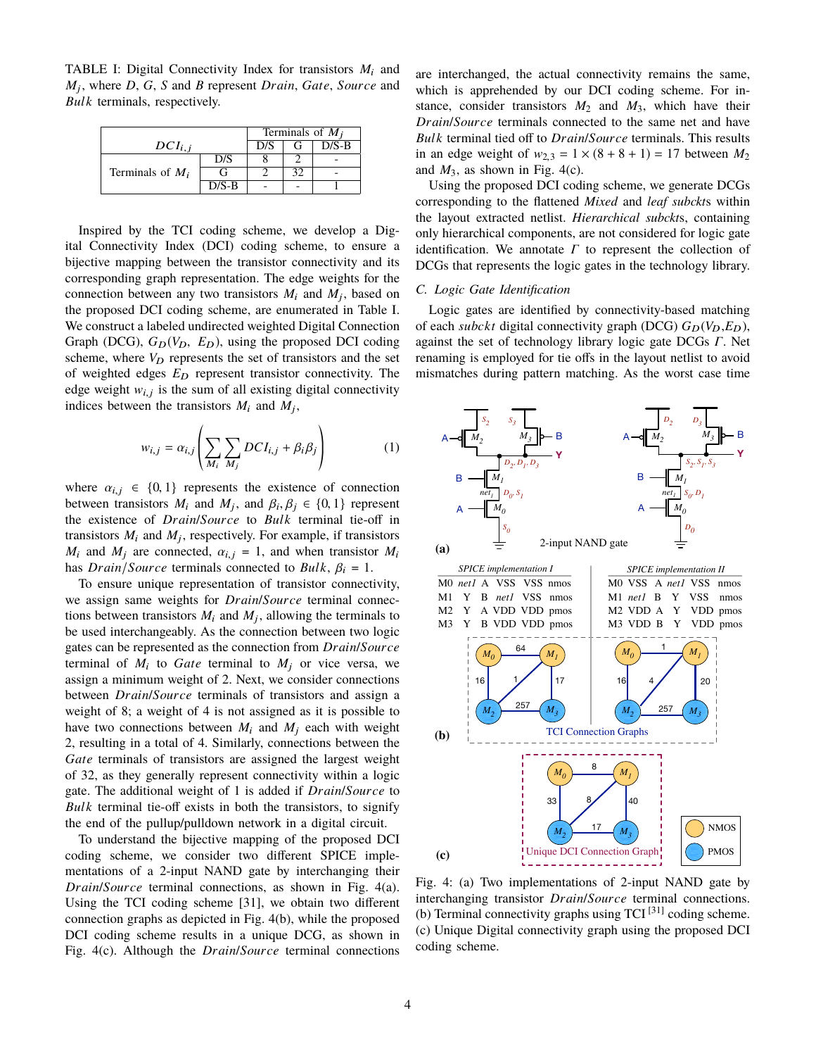TABLE I: Digital Connectivity Index for transistors  $M_i$  and *M*<sup>j</sup> , where *D*, *G*, *S* and *B* represent *Drain*, *Gate*, *Source* and *Bulk* terminals, respectively.

|                    | Terminals of $M_i$ |     |    |         |  |
|--------------------|--------------------|-----|----|---------|--|
| $DCI_{i,j}$        |                    | D/S | (÷ | $D/S-B$ |  |
|                    | D/S                |     |    |         |  |
| Terminals of $M_i$ |                    |     |    |         |  |
|                    | $D/S-B$            |     |    |         |  |

Inspired by the TCI coding scheme, we develop a Digital Connectivity Index (DCI) coding scheme, to ensure a bijective mapping between the transistor connectivity and its corresponding graph representation. The edge weights for the connection between any two transistors  $M_i$  and  $M_j$ , based on the proposed DCI coding scheme, are enumerated in Table I. We construct a labeled undirected weighted Digital Connection Graph (DCG),  $G_D(V_D, E_D)$ , using the proposed DCI coding scheme, where  $V_D$  represents the set of transistors and the set of weighted edges  $E_D$  represent transistor connectivity. The edge weight  $w_{i,j}$  is the sum of all existing digital connectivity<br>indices between the transisters M and M indices between the transistors  $M_i$  and  $M_j$ ,

$$
w_{i,j} = \alpha_{i,j} \left( \sum_{M_i} \sum_{M_j} DCI_{i,j} + \beta_i \beta_j \right)
$$
 (1)

where  $\alpha_{i,j} \in \{0,1\}$  represents the existence of connection between transistors  $M_i$  and  $M_j$ , and  $\beta_i, \beta_j \in \{0, 1\}$  represent<br>the existence of *Drain/Source* to *Bulk* terminal tie-off in the existence of *Drain*/*Source* to *Bulk* terminal tie-off in transistors  $M_i$  and  $M_j$ , respectively. For example, if transistors  $M_i$  and  $M_j$  are connected,  $\alpha_{i,j} = 1$ , and when transistor  $M_i$ has *Drain*/*Source* terminals connected to *Bulk*,  $\beta_i = 1$ .

To ensure unique representation of transistor connectivity, we assign same weights for *Drain*/*Source* terminal connections between transistors  $M_i$  and  $M_j$ , allowing the terminals to be used interchangeably. As the connection between two logic gates can be represented as the connection from *Drain*/*Source* terminal of  $M_i$  to *Gate* terminal to  $M_j$  or vice versa, we assign a minimum weight of 2. Next, we consider connections between *Drain*/*Source* terminals of transistors and assign a weight of 8; a weight of 4 is not assigned as it is possible to have two connections between  $M_i$  and  $M_j$  each with weight 2, resulting in a total of 4. Similarly, connections between the *Gate* terminals of transistors are assigned the largest weight of 32, as they generally represent connectivity within a logic gate. The additional weight of 1 is added if *Drain*/*Source* to *Bulk* terminal tie-off exists in both the transistors, to signify the end of the pullup/pulldown network in a digital circuit.

To understand the bijective mapping of the proposed DCI coding scheme, we consider two different SPICE implementations of a 2-input NAND gate by interchanging their *Drain*/*Source* terminal connections, as shown in Fig. 4(a). Using the TCI coding scheme [31], we obtain two different connection graphs as depicted in Fig. 4(b), while the proposed DCI coding scheme results in a unique DCG, as shown in Fig. 4(c). Although the *Drain*/*Source* terminal connections are interchanged, the actual connectivity remains the same, which is apprehended by our DCI coding scheme. For instance, consider transistors  $M_2$  and  $M_3$ , which have their *Drain*/*Source* terminals connected to the same net and have *Bulk* terminal tied off to *Drain*/*Source* terminals. This results in an edge weight of  $w_{2,3} = 1 \times (8 + 8 + 1) = 17$  between  $M_2$ and  $M_3$ , as shown in Fig. 4(c).

Using the proposed DCI coding scheme, we generate DCGs corresponding to the flattened *Mixed* and *leaf subckt*s within the layout extracted netlist. *Hierarchical subckt*s, containing only hierarchical components, are not considered for logic gate identification. We annotate *Γ* to represent the collection of DCGs that represents the logic gates in the technology library.

## *C. Logic Gate Identification*

Logic gates are identified by connectivity-based matching of each *subckt* digital connectivity graph (DCG)  $G_D(V_D, E_D)$ , against the set of technology library logic gate DCGs *Γ*. Net renaming is employed for tie offs in the layout netlist to avoid mismatches during pattern matching. As the worst case time



Fig. 4: (a) Two implementations of 2-input NAND gate by interchanging transistor *Drain*/*Source* terminal connections. (b) Terminal connectivity graphs using  $TCI^{[31]}$  coding scheme. (c) Unique Digital connectivity graph using the proposed DCI coding scheme.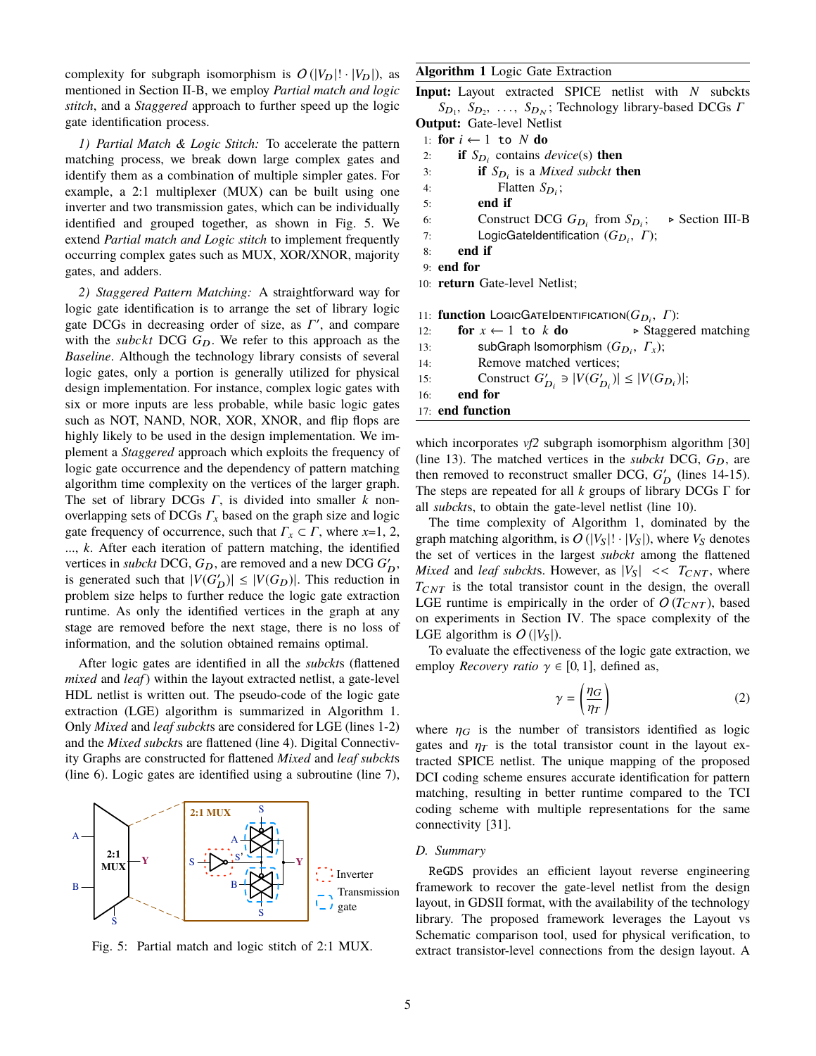complexity for subgraph isomorphism is  $O(|V_D|! \cdot |V_D|)$ , as mentioned in Section II-B, we employ *Partial match and logic stitch*, and a *Staggered* approach to further speed up the logic gate identification process.

*1) Partial Match & Logic Stitch:* To accelerate the pattern matching process, we break down large complex gates and identify them as a combination of multiple simpler gates. For example, a 2:1 multiplexer (MUX) can be built using one inverter and two transmission gates, which can be individually identified and grouped together, as shown in Fig. 5. We extend *Partial match and Logic stitch* to implement frequently occurring complex gates such as MUX, XOR/XNOR, majority gates, and adders.

*2) Staggered Pattern Matching:* A straightforward way for logic gate identification is to arrange the set of library logic gate DCGs in decreasing order of size, as *Γ'*, and compare with the *subckt* DCG  $G_D$ . We refer to this approach as the *Baseline*. Although the technology library consists of several logic gates, only a portion is generally utilized for physical design implementation. For instance, complex logic gates with six or more inputs are less probable, while basic logic gates such as NOT, NAND, NOR, XOR, XNOR, and flip flops are highly likely to be used in the design implementation. We implement a *Staggered* approach which exploits the frequency of logic gate occurrence and the dependency of pattern matching algorithm time complexity on the vertices of the larger graph. The set of library DCGs *Γ*, is divided into smaller *k* nonoverlapping sets of DCGs *Γ<sup>x</sup>* based on the graph size and logic gate frequency of occurrence, such that  $\Gamma_x \subset \Gamma$ , where *x*=1, 2, ..., *k*. After each iteration of pattern matching, the identified vertices in *subckt* DCG,  $G_D$ , are removed and a new DCG  $G'_D$ , is generated such that  $|V(G_D')| \leq |V(G_D)|$ . This reduction in problem size helps to further reduce the logic gate extraction runtime. As only the identified vertices in the graph at any stage are removed before the next stage, there is no loss of information, and the solution obtained remains optimal.

After logic gates are identified in all the *subckt*s (flattened *mixed* and *leaf*) within the layout extracted netlist, a gate-level HDL netlist is written out. The pseudo-code of the logic gate extraction (LGE) algorithm is summarized in Algorithm 1. Only *Mixed* and *leaf subckt*s are considered for LGE (lines 1-2) and the *Mixed subckt*s are flattened (line 4). Digital Connectiv ity Graphs are constructed for flattened *Mixed* and *leaf subckt*s (line 6). Logic gates are identified using a subroutine (line 7),



Fig. 5: Partial match and logic stitch of 2:1 MUX.

# **Algorithm 1** Logic Gate Extraction

**Input:** Layout extracted SPICE netlist with *N* subckts *S*<sub>D<sub>1</sub></sub>, *S*<sub>D<sub>2</sub>, ..., *S*<sub>D<sub>N</sub></sub>; Technology library-based DCGs *Γ*<br>**put:** Gate-level Netlist</sub>

; . Section III-B

**Output:** Gate-level Netlist 1: **for**  $i \leftarrow 1$  to  $N$  **do** 2: **if**  $S_{D_i}$  contains *device*(s) **then** 3: **if**  $S_{D_i}$  is a *Mixed subckt* **then** 4: Flatten  $S_{D_i}$ ; 5: **end if** 6: Construct DCG  $G_{D_i}$  from  $S_{D_i}$ 7: LogicGateIdentification  $(G_{D_i}, T)$ ; 8: **end if** 9: **end for**

10: **return** Gate-level Netlist;

|     | 11: <b>function</b> LOGICGATE <b>DENTIFICATION</b> $(G_D, \Gamma)$ : |                                     |
|-----|----------------------------------------------------------------------|-------------------------------------|
| 12: | for $x \leftarrow 1$ to k do                                         | $\triangleright$ Staggered matching |
| 13: | subGraph Isomorphism $(G_{D_i}, \Gamma_{\chi});$                     |                                     |
| 14: | Remove matched vertices;                                             |                                     |
| 15: | Construct $G'_{D_i} \ni  V(G'_{D_i})  \le  V(G_{D_i}) $ ;            |                                     |
| 16: | end for                                                              |                                     |
|     | 17: end function                                                     |                                     |

which incorporates *vf2* subgraph isomorphism algorithm [30] (line 13). The matched vertices in the *subckt* DCG,  $G_D$ , are then removed to reconstruct smaller DCG,  $G'_{D}$  (lines 14-15). The steps are repeated for all *k* groups of library DCGs Γ for all *subckt*s, to obtain the gate-level netlist (line 10).

The time complexity of Algorithm 1, dominated by the graph matching algorithm, is  $O(|V_S|! \cdot |V_S|)$ , where  $V_S$  denotes the set of vertices in the largest *subckt* among the flattened *Mixed* and *leaf subckts*. However, as  $|V_S| \ll T_{CNT}$ , where  $T_{CNT}$  is the total transistor count in the design, the overall LGE runtime is empirically in the order of  $O(T_{CNT})$ , based on experiments in Section IV. The space complexity of the LGE algorithm is  $O(|V_S|)$ .

To evaluate the effectiveness of the logic gate extraction, we employ *Recovery ratio*  $\gamma \in [0, 1]$ , defined as,

$$
\gamma = \left(\frac{\eta_G}{\eta_T}\right) \tag{2}
$$

where  $\eta_G$  is the number of transistors identified as logic gates and  $\eta$  is the total transistor count in the layout extracted SPICE netlist. The unique mapping of the proposed DCI coding scheme ensures accurate identification for pattern matching, resulting in better runtime compared to the TCI coding scheme with multiple representations for the same connectivity [31].

## *D. Summary*

ReGDS provides an efficient layout reverse engineering framework to recover the gate-level netlist from the design layout, in GDSII format, with the availability of the technology library. The proposed framework leverages the Layout vs Schematic comparison tool, used for physical verification, to extract transistor-level connections from the design layout. A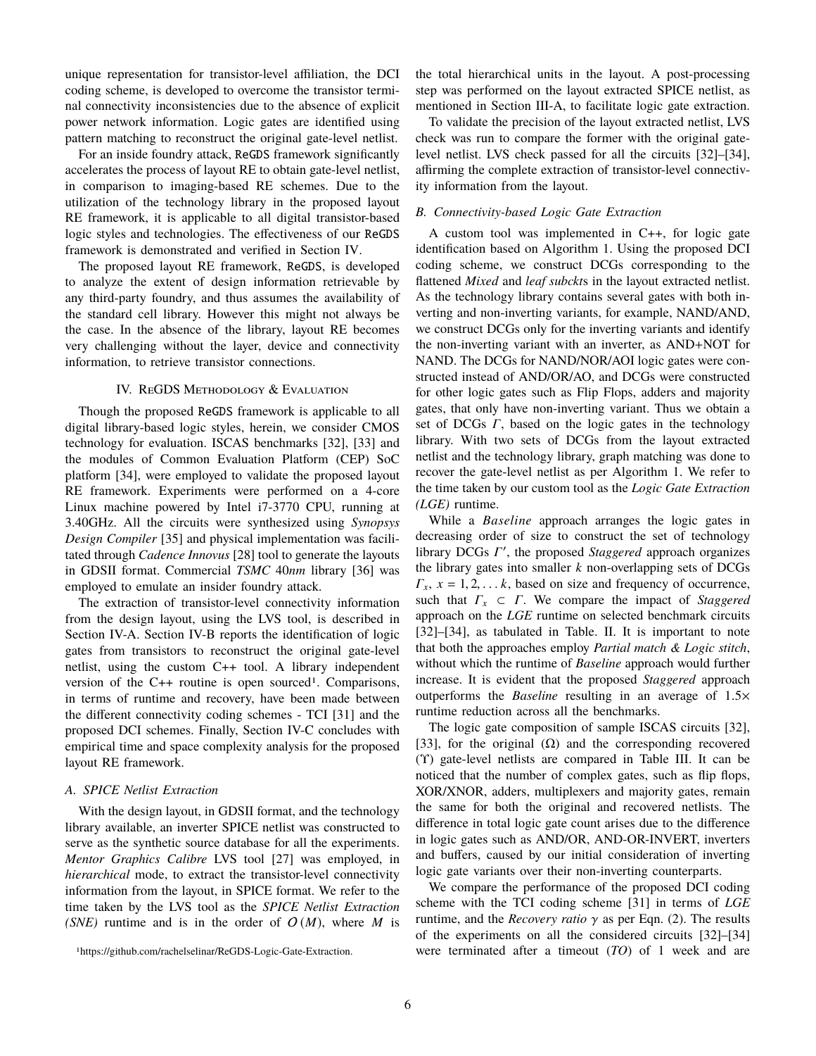unique representation for transistor-level affiliation, the DCI coding scheme, is developed to overcome the transistor terminal connectivity inconsistencies due to the absence of explicit power network information. Logic gates are identified using pattern matching to reconstruct the original gate-level netlist.

For an inside foundry attack, ReGDS framework significantly accelerates the process of layout RE to obtain gate-level netlist, in comparison to imaging-based RE schemes. Due to the utilization of the technology library in the proposed layout RE framework, it is applicable to all digital transistor-based logic styles and technologies. The effectiveness of our ReGDS framework is demonstrated and verified in Section IV.

The proposed layout RE framework, ReGDS, is developed to analyze the extent of design information retrievable by any third-party foundry, and thus assumes the availability of the standard cell library. However this might not always be the case. In the absence of the library, layout RE becomes very challenging without the layer, device and connectivity information, to retrieve transistor connections.

#### IV. REGDS METHODOLOGY & EVALUATION

Though the proposed ReGDS framework is applicable to all digital library-based logic styles, herein, we consider CMOS technology for evaluation. ISCAS benchmarks [32], [33] and the modules of Common Evaluation Platform (CEP) SoC platform [34], were employed to validate the proposed layout RE framework. Experiments were performed on a 4-core Linux machine powered by Intel i7-3770 CPU, running at 3.40GHz. All the circuits were synthesized using *Synopsys Design Compiler* [35] and physical implementation was facilitated through *Cadence Innovus* [28] tool to generate the layouts in GDSII format. Commercial *TSMC* 40*nm* library [36] was employed to emulate an insider foundry attack.

The extraction of transistor-level connectivity information from the design layout, using the LVS tool, is described in Section IV-A. Section IV-B reports the identification of logic gates from transistors to reconstruct the original gate-level netlist, using the custom C++ tool. A library independent version of the  $C++$  routine is open sourced<sup>1</sup>. Comparisons, in terms of runtime and recovery, have been made between the different connectivity coding schemes - TCI [31] and the proposed DCI schemes. Finally, Section IV-C concludes with empirical time and space complexity analysis for the proposed layout RE framework.

## *A. SPICE Netlist Extraction*

With the design layout, in GDSII format, and the technology library available, an inverter SPICE netlist was constructed to serve as the synthetic source database for all the experiments. *Mentor Graphics Calibre* LVS tool [27] was employed, in *hierarchical* mode, to extract the transistor-level connectivity information from the layout, in SPICE format. We refer to the time taken by the LVS tool as the *SPICE Netlist Extraction (SNE)* runtime and is in the order of  $O(M)$ , where *M* is the total hierarchical units in the layout. A post-processing step was performed on the layout extracted SPICE netlist, as mentioned in Section III-A, to facilitate logic gate extraction.

To validate the precision of the layout extracted netlist, LVS check was run to compare the former with the original gatelevel netlist. LVS check passed for all the circuits [32]–[34], affirming the complete extraction of transistor-level connectivity information from the layout.

## *B. Connectivity-based Logic Gate Extraction*

A custom tool was implemented in C++, for logic gate identification based on Algorithm 1. Using the proposed DCI coding scheme, we construct DCGs corresponding to the flattened *Mixed* and *leaf subckt*s in the layout extracted netlist. As the technology library contains several gates with both inverting and non-inverting variants, for example, NAND/AND, we construct DCGs only for the inverting variants and identify the non-inverting variant with an inverter, as AND+NOT for NAND. The DCGs for NAND/NOR/AOI logic gates were constructed instead of AND/OR/AO, and DCGs were constructed for other logic gates such as Flip Flops, adders and majority gates, that only have non-inverting variant. Thus we obtain a set of DCGs *Γ*, based on the logic gates in the technology library. With two sets of DCGs from the layout extracted netlist and the technology library, graph matching was done to recover the gate-level netlist as per Algorithm 1. We refer to the time taken by our custom tool as the *Logic Gate Extraction (LGE)* runtime.

While a *Baseline* approach arranges the logic gates in decreasing order of size to construct the set of technology library DCGs Γ', the proposed *Staggered* approach organizes the library gates into smaller *k* non-overlapping sets of DCGs  $\Gamma_x$ ,  $x = 1, 2, \ldots k$ , based on size and frequency of occurrence, such that *Γ<sup>x</sup>* ⊂ *Γ*. We compare the impact of *Staggered* approach on the *LGE* runtime on selected benchmark circuits [32]–[34], as tabulated in Table. II. It is important to note that both the approaches employ *Partial match & Logic stitch*, without which the runtime of *Baseline* approach would further increase. It is evident that the proposed *Staggered* approach outperforms the *Baseline* resulting in an average of <sup>1</sup>.5<sup>×</sup> runtime reduction across all the benchmarks.

The logic gate composition of sample ISCAS circuits [32], [33], for the original  $(\Omega)$  and the corresponding recovered (Υ) gate-level netlists are compared in Table III. It can be noticed that the number of complex gates, such as flip flops, XOR/XNOR, adders, multiplexers and majority gates, remain the same for both the original and recovered netlists. The difference in total logic gate count arises due to the difference in logic gates such as AND/OR, AND-OR-INVERT, inverters and buffers, caused by our initial consideration of inverting logic gate variants over their non-inverting counterparts.

We compare the performance of the proposed DCI coding scheme with the TCI coding scheme [31] in terms of *LGE* runtime, and the *Recovery ratio*  $\gamma$  as per Eqn. (2). The results of the experiments on all the considered circuits [32]–[34] were terminated after a timeout (*TO*) of 1 week and are

<sup>1</sup>https://github.com/rachelselinar/ReGDS-Logic-Gate-Extraction.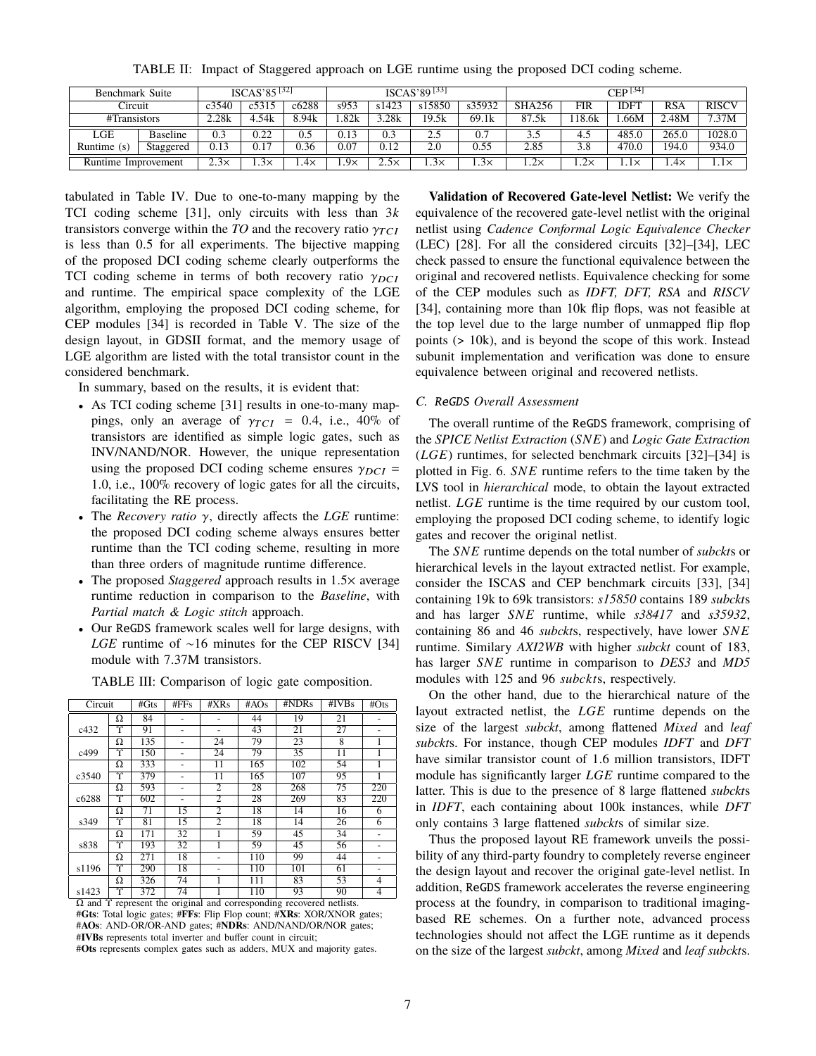TABLE II: Impact of Staggered approach on LGE runtime using the proposed DCI coding scheme.

|                     | $ISCAS'85^{[32]}$<br>Benchmark Suite |             |            |       | $ISCAS'89^{[33]}$ |             |             |             | $CEP^{[34]}$  |             |                    |       |              |
|---------------------|--------------------------------------|-------------|------------|-------|-------------------|-------------|-------------|-------------|---------------|-------------|--------------------|-------|--------------|
| Circuit             |                                      | c3540       | c5315      | c6288 | s953              | s1423       | s15850      | s35932      | <b>SHA256</b> | FIR         | IDFI               | RSA   | <b>RISCV</b> |
| #Transistors        |                                      | 2.28k       | 4.54k      | 8.94k | .82k              | .28k        | 19.5k       | 69.1k       | 87<br>.5k     | .18.6k      | .66M               | 2.48M | 7.37M        |
| LGE                 | <b>Baseline</b>                      | 0.3         | 0.22       | 0.5   | 0.13              | 0.3         | 2.5         | 0.7         | 3.5           |             | 485.0              | 265.0 | 1028.0       |
| Runtime $(s)$       | Staggered                            | 0.13        | 0.17       | 0.36  | 0.07              | 0.12        | 2.0         | 0.55        | 2.85          |             | $\overline{470.0}$ | 194.0 | 934.0        |
| Runtime Improvement |                                      | $2.3\times$ | $.3\times$ | . .4x | $.9\times$        | $2.5\times$ | $1.3\times$ | $1.3\times$ | $1.2\times$   | $1.2\times$ | $1.1\times$        | 1.4×  | 1.1×         |

tabulated in Table IV. Due to one-to-many mapping by the TCI coding scheme [31], only circuits with less than 3*k* transistors converge within the *TO* and the recovery ratio  $\gamma_{TCI}$ is less than <sup>0</sup>.<sup>5</sup> for all experiments. The bijective mapping of the proposed DCI coding scheme clearly outperforms the TCI coding scheme in terms of both recovery ratio  $\gamma_{DCI}$ and runtime. The empirical space complexity of the LGE algorithm, employing the proposed DCI coding scheme, for CEP modules [34] is recorded in Table V. The size of the design layout, in GDSII format, and the memory usage of LGE algorithm are listed with the total transistor count in the considered benchmark.

In summary, based on the results, it is evident that:

- As TCI coding scheme [31] results in one-to-many mappings, only an average of  $\gamma_{TCI}$  = 0.4, i.e., 40% of transistors are identified as simple logic gates, such as INV/NAND/NOR. However, the unique representation using the proposed DCI coding scheme ensures  $\gamma_{DCI}$  = <sup>1</sup>.0, i.e., 100% recovery of logic gates for all the circuits, facilitating the RE process.
- The *Recovery ratio* γ, directly affects the *LGE* runtime: the proposed DCI coding scheme always ensures better runtime than the TCI coding scheme, resulting in more than three orders of magnitude runtime difference.
- The proposed *Staggered* approach results in <sup>1</sup>.5<sup>×</sup> average runtime reduction in comparison to the *Baseline*, with *Partial match & Logic stitch* approach.
- Our ReGDS framework scales well for large designs, with *LGE* runtime of ∼16 minutes for the CEP RISCV [34] module with <sup>7</sup>.37M transistors.

| Circuit       |   | $#G$ ts | #FFs                     | #XRs           | #AOs | #NDRs | $\overline{\textbf{H}}$ IVBs | #Ots |
|---------------|---|---------|--------------------------|----------------|------|-------|------------------------------|------|
|               | Ω | 84      |                          |                | 44   | 19    | 21                           |      |
| c432          | r | 91      |                          |                | 43   | 21    | 27                           |      |
|               | Ω | 135     |                          | 24             | 79   | 23    | 8                            | 1    |
| c499          | Υ | 150     | $\overline{\phantom{0}}$ | 24             | 79   | 35    | 11                           | 1    |
|               | Ω | 333     |                          | 11             | 165  | 102   | 54                           | 1    |
| c3540         | Υ | 379     |                          | 11             | 165  | 107   | 95                           |      |
|               | Ω | 593     |                          | $\overline{2}$ | 28   | 268   | 75                           | 220  |
| c6288         | Υ | 602     |                          | $\overline{2}$ | 28   | 269   | 83                           | 220  |
|               | Ω | 71      | 15                       | $\overline{2}$ | 18   | 14    | 16                           | 6    |
| s349          | Υ | 81      | 15                       | $\overline{2}$ | 18   | 14    | 26                           | 6    |
|               | Ω | 171     | 32                       |                | 59   | 45    | 34                           | -    |
| s838          | Y | 193     | 32                       |                | 59   | 45    | 56                           | ۰    |
|               | Ω | 271     | 18                       |                | 110  | 99    | 44                           |      |
| s1196         | Υ | 290     | 18                       |                | 110  | 101   | 61                           |      |
|               | Ω | 326     | 74                       |                | 111  | 83    | 53                           | 4    |
| s1423<br>$ -$ | Υ | 372     | 74                       |                | 110  | 93    | 90<br>--                     | 4    |

TABLE III: Comparison of logic gate composition.

 $Ω$  and  $γ$  represent the original and corresponding recovered netlists. #**Gts**: Total logic gates; #**FFs**: Flip Flop count; #**XRs**: XOR/XNOR gates; #**AOs**: AND-OR/OR-AND gates; #**NDRs**: AND/NAND/OR/NOR gates; #**IVBs** represents total inverter and buffer count in circuit; #**Ots** represents complex gates such as adders, MUX and majority gates.

**Validation of Recovered Gate-level Netlist:** We verify the equivalence of the recovered gate-level netlist with the original netlist using *Cadence Conformal Logic Equivalence Checker* (LEC) [28]. For all the considered circuits [32]–[34], LEC check passed to ensure the functional equivalence between the original and recovered netlists. Equivalence checking for some of the CEP modules such as *IDFT, DFT, RSA* and *RISCV* [34], containing more than 10k flip flops, was not feasible at the top level due to the large number of unmapped flip flop points (> 10k), and is beyond the scope of this work. Instead subunit implementation and verification was done to ensure equivalence between original and recovered netlists.

## *C.* ReGDS *Overall Assessment*

The overall runtime of the ReGDS framework, comprising of the *SPICE Netlist Extraction* (*SNE*) and *Logic Gate Extraction* (*LGE*) runtimes, for selected benchmark circuits [32]–[34] is plotted in Fig. 6. *SNE* runtime refers to the time taken by the LVS tool in *hierarchical* mode, to obtain the layout extracted netlist. *LGE* runtime is the time required by our custom tool, employing the proposed DCI coding scheme, to identify logic gates and recover the original netlist.

The *SNE* runtime depends on the total number of *subckt*s or hierarchical levels in the layout extracted netlist. For example, consider the ISCAS and CEP benchmark circuits [33], [34] containing 19k to 69k transistors: *s15850* contains 189 *subckt*s and has larger *SNE* runtime, while *s38417* and *s35932*, containing 86 and 46 *subckt*s, respectively, have lower *SNE* runtime. Similary *AXI2WB* with higher *subckt* count of 183, has larger *SNE* runtime in comparison to *DES3* and *MD5* modules with 125 and 96 *subckt*s, respectively.

On the other hand, due to the hierarchical nature of the layout extracted netlist, the *LGE* runtime depends on the size of the largest *subckt*, among flattened *Mixed* and *leaf subckt*s. For instance, though CEP modules *IDFT* and *DFT* have similar transistor count of <sup>1</sup>.<sup>6</sup> million transistors, IDFT module has significantly larger *LGE* runtime compared to the latter. This is due to the presence of 8 large flattened *subckt*s in *IDFT*, each containing about 100k instances, while *DFT* only contains 3 large flattened *subckt*s of similar size.

Thus the proposed layout RE framework unveils the possibility of any third-party foundry to completely reverse engineer the design layout and recover the original gate-level netlist. In addition, ReGDS framework accelerates the reverse engineering process at the foundry, in comparison to traditional imagingbased RE schemes. On a further note, advanced process technologies should not affect the LGE runtime as it depends on the size of the largest *subckt*, among *Mixed* and *leaf subckt*s.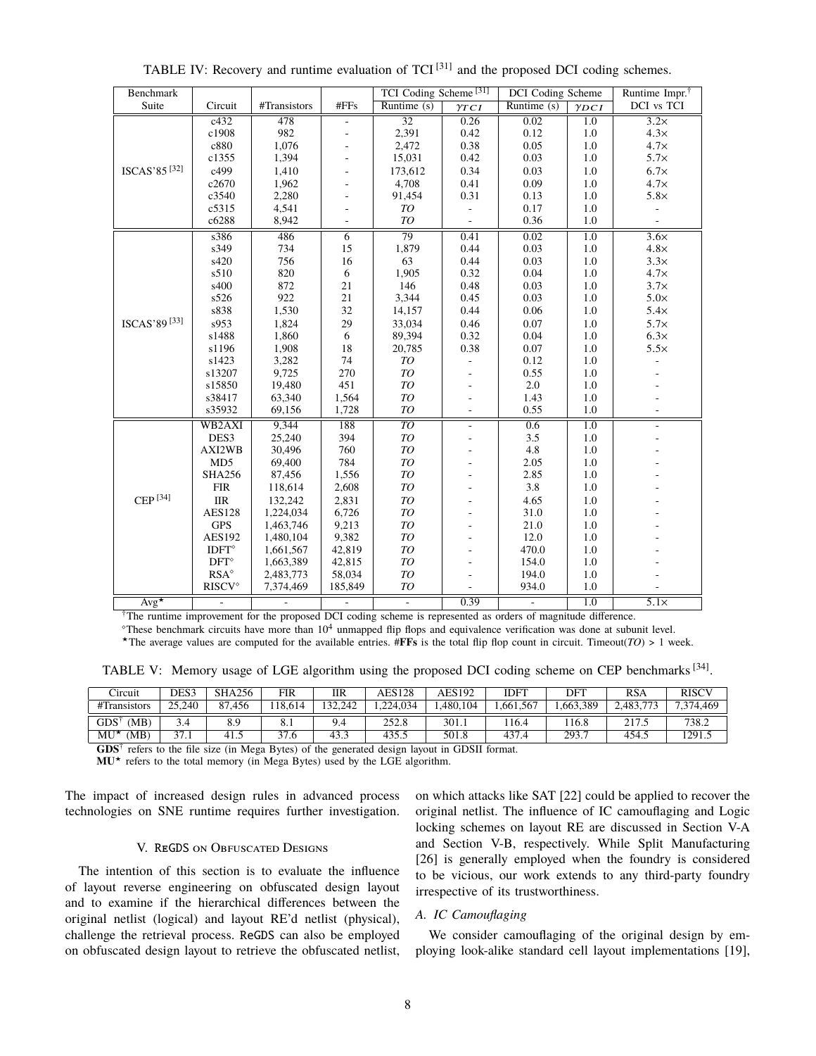| Benchmark                                                                                                                 |                           |              |                          | TCI Coding Scheme <sup>[31]</sup> |                              | <b>DCI</b> Coding Scheme |                  | Runtime Impr. $†$        |  |  |
|---------------------------------------------------------------------------------------------------------------------------|---------------------------|--------------|--------------------------|-----------------------------------|------------------------------|--------------------------|------------------|--------------------------|--|--|
| Suite                                                                                                                     | Circuit                   | #Transistors | #FFs                     | $\overline{\text{Runtime}}$ (s)   | $\gamma_{TCI}$               | Runtime $(s)$            | $\gamma_{DCI}$   | DCI vs TCI               |  |  |
|                                                                                                                           | c432                      | 478          |                          | $\overline{32}$                   | 0.26                         | 0.02                     | $\overline{1.0}$ | $\overline{3.2\times}$   |  |  |
|                                                                                                                           | c1908                     | 982          | $\overline{\phantom{a}}$ | 2,391                             | 0.42                         | 0.12                     | $1.0\,$          | $4.3\times$              |  |  |
|                                                                                                                           | c880                      | 1,076        |                          | 2,472                             | 0.38                         | 0.05                     | 1.0              | $4.7\times$              |  |  |
|                                                                                                                           | c1355                     | 1,394        |                          | 15,031                            | 0.42                         | 0.03                     | 1.0              | $5.7\times$              |  |  |
| ISCAS'85 <sup>[32]</sup>                                                                                                  | c499                      | 1,410        |                          | 173,612                           | 0.34                         | 0.03                     | 1.0              | $6.7\times$              |  |  |
|                                                                                                                           | c2670                     | 1,962        |                          | 4,708                             | 0.41                         | 0.09                     | 1.0              | $4.7\times$              |  |  |
|                                                                                                                           | c3540                     | 2,280        |                          | 91,454                            | 0.31                         | 0.13                     | 1.0              | $5.8\times$              |  |  |
|                                                                                                                           | c5315                     | 4,541        |                          | TO                                | $\Box$                       | 0.17                     | 1.0              | $\overline{\phantom{a}}$ |  |  |
|                                                                                                                           | c6288                     | 8,942        |                          | TO                                | $\qquad \qquad \blacksquare$ | 0.36                     | 1.0              |                          |  |  |
|                                                                                                                           | s386                      | 486          | $\overline{6}$           | 79                                | 0.41                         | 0.02                     | 1.0              | $3.6\times$              |  |  |
|                                                                                                                           | s349                      | 734          | 15                       | 1,879                             | 0.44                         | 0.03                     | $1.0\,$          | $4.8\times$              |  |  |
|                                                                                                                           | s420                      | 756          | 16                       | 63                                | 0.44                         | 0.03                     | 1.0              | $3.3\times$              |  |  |
|                                                                                                                           | s510                      | 820          | $\sqrt{6}$               | 1,905                             | 0.32                         | 0.04                     | 1.0              | $4.7\times$              |  |  |
|                                                                                                                           | s400                      | 872          | 21                       | 146                               | 0.48                         | 0.03                     | 1.0              | $3.7\times$              |  |  |
|                                                                                                                           | s526                      | 922          | 21                       | 3,344                             | 0.45                         | 0.03                     | 1.0              | $5.0\times$              |  |  |
|                                                                                                                           | s838                      | 1,530        | 32                       | 14,157                            | 0.44                         | 0.06                     | 1.0              | $5.4\times$              |  |  |
| ISCAS'89 <sup>[33]</sup>                                                                                                  | s953                      | 1,824        | 29                       | 33,034                            | 0.46                         | 0.07                     | 1.0              | $5.7\times$              |  |  |
|                                                                                                                           | s1488                     | 1,860        | 6                        | 89,394                            | 0.32                         | 0.04                     | 1.0              | $6.3\times$              |  |  |
|                                                                                                                           | s1196                     | 1,908        | 18                       | 20,785                            | 0.38                         | $0.07\,$                 | 1.0              | $5.5\times$              |  |  |
|                                                                                                                           | s1423                     | 3,282        | 74                       | ${\cal T} {\cal O}$               | ÷,                           | 0.12                     | 1.0              |                          |  |  |
|                                                                                                                           | s13207                    | 9.725        | 270                      | TO                                |                              | 0.55                     | 1.0              |                          |  |  |
|                                                                                                                           | s15850                    | 19,480       | 451                      | ${\cal T} {\cal O}$               |                              | 2.0                      | 1.0              |                          |  |  |
|                                                                                                                           | s38417                    | 63,340       | 1,564                    | TO                                |                              | 1.43                     | 1.0              |                          |  |  |
|                                                                                                                           | s35932                    | 69,156       | 1,728                    | ${\cal T} {\cal O}$               | ÷.                           | 0.55                     | 1.0              |                          |  |  |
|                                                                                                                           | WB <sub>2</sub> AXI       | 9,344        | 188                      | $\overline{TO}$                   |                              | 0.6                      | $\overline{1.0}$ |                          |  |  |
|                                                                                                                           | DES <sub>3</sub>          | 25,240       | 394                      | TO                                | ä,                           | 3.5                      | 1.0              |                          |  |  |
|                                                                                                                           | AXI2WB                    | 30,496       | 760                      | ${\cal T} {\cal O}$               |                              | 4.8                      | 1.0              |                          |  |  |
|                                                                                                                           | MD5                       | 69,400       | 784                      | TO                                |                              | 2.05                     | 1.0              |                          |  |  |
|                                                                                                                           | <b>SHA256</b>             | 87,456       | 1,556                    | TO                                |                              | 2.85                     | 1.0              |                          |  |  |
|                                                                                                                           | <b>FIR</b>                | 118,614      | 2,608                    | TO                                |                              | 3.8                      | 1.0              |                          |  |  |
| CEP <sup>[34]</sup>                                                                                                       | <b>IIR</b>                | 132,242      | 2,831                    | ${\cal T} {\cal O}$               |                              | 4.65                     | 1.0              |                          |  |  |
|                                                                                                                           | <b>AES128</b>             | 1,224,034    | 6,726                    | TO                                |                              | 31.0                     | 1.0              |                          |  |  |
|                                                                                                                           | <b>GPS</b>                | 1,463,746    | 9,213                    | TO                                |                              | 21.0                     | 1.0              |                          |  |  |
|                                                                                                                           | AES192                    | 1,480,104    | 9,382                    | TO                                |                              | 12.0                     | 1.0              |                          |  |  |
|                                                                                                                           | $\text{IDFT}^{\diamond}$  | 1,661,567    | 42,819                   | ${\cal T} {\cal O}$               |                              | 470.0                    | 1.0              |                          |  |  |
|                                                                                                                           | $\mathrm{DFT}^\diamond$   | 1,663,389    | 42,815                   | ${\cal T} {\cal O}$               |                              | 154.0                    | 1.0              |                          |  |  |
|                                                                                                                           | $RSA^{\diamond}$          | 2,483,773    | 58,034                   | ${\cal T} {\cal O}$               |                              | 194.0                    | 1.0              |                          |  |  |
|                                                                                                                           | <b>RISCV</b> <sup>o</sup> | 7,374,469    | 185,849                  | TO                                | ÷.                           | 934.0                    | 1.0              |                          |  |  |
| $Avg*$                                                                                                                    | $\blacksquare$            |              |                          | $\Box$                            | 0.39                         | ÷,                       | 1.0              | $5.1\times$              |  |  |
| <sup>†</sup> The runtime improvement for the proposed DCI coding scheme is represented as orders of magnitude difference. |                           |              |                          |                                   |                              |                          |                  |                          |  |  |

TABLE IV: Recovery and runtime evaluation of TCI<sup>[31]</sup> and the proposed DCI coding schemes.

 $\degree$ These benchmark circuits have more than  $10<sup>4</sup>$  unmapped flip flops and equivalence verification was done at subunit level.

The average values are computed for the available entries.  $#FFs$  is the total flip flop count in circuit. Timeout( $TO$ ) > 1 week.

TABLE V: Memory usage of LGE algorithm using the proposed DCI coding scheme on CEP benchmarks  $^{[34]}$ .

| Circuit                                                                                                                               | DES3   | <b>SHA256</b> | <b>FIR</b> | IIR     | AES128   | AES192   | IDFT     | DFT      | <b>RSA</b> | <b>RISCV</b> |
|---------------------------------------------------------------------------------------------------------------------------------------|--------|---------------|------------|---------|----------|----------|----------|----------|------------|--------------|
| #Transistors                                                                                                                          | 25,240 | 87.456        | 18.614     | 132,242 | .224.034 | .480.104 | .661.567 | .663.389 | 2.483.773  | 7.374,469    |
| $GDS^{\dagger}$<br>(MB)                                                                                                               | 3.4    | 8.9           |            | 9.4     | 252.8    | 301.1    | 16.4     | 116.8    | 217.5      | 738.2        |
| $MU^{\star}$<br>(MB)<br>293.7<br>1291.5<br>437.4<br>435.5<br>501.8<br>37.1<br>454.5<br>37.6<br>43.3<br>41.5                           |        |               |            |         |          |          |          |          |            |              |
| $\mathbf{G}\mathbf{D}\mathbf{S}^{\dagger}$<br>refers to the file size (in Mega Bytes) of the generated design layout in GDSII format. |        |               |            |         |          |          |          |          |            |              |

refers to the file size (in Mega Bytes) of the generated design layout in GDSII format.

**MU**? refers to the total memory (in Mega Bytes) used by the LGE algorithm.

The impact of increased design rules in advanced process technologies on SNE runtime requires further investigation.

#### V. ReGDS on Obfuscated Designs

The intention of this section is to evaluate the influence of layout reverse engineering on obfuscated design layout and to examine if the hierarchical differences between the original netlist (logical) and layout RE'd netlist (physical), challenge the retrieval process. ReGDS can also be employed on obfuscated design layout to retrieve the obfuscated netlist,

on which attacks like SAT [22] could be applied to recover the original netlist. The influence of IC camouflaging and Logic locking schemes on layout RE are discussed in Section V-A and Section V-B, respectively. While Split Manufacturing [26] is generally employed when the foundry is considered to be vicious, our work extends to any third-party foundry irrespective of its trustworthiness.

## *A. IC Camouflaging*

We consider camouflaging of the original design by employing look-alike standard cell layout implementations [19],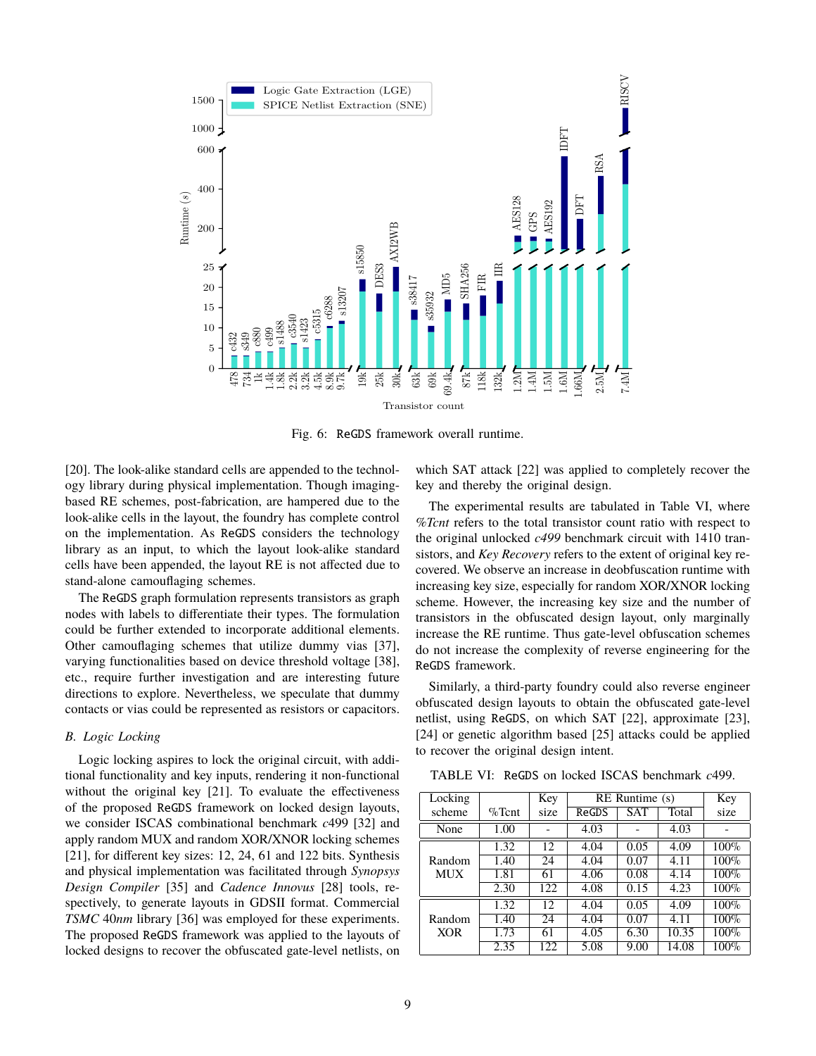

Fig. 6: ReGDS framework overall runtime.

[20]. The look-alike standard cells are appended to the technology library during physical implementation. Though imagingbased RE schemes, post-fabrication, are hampered due to the look-alike cells in the layout, the foundry has complete control on the implementation. As ReGDS considers the technology library as an input, to which the layout look-alike standard cells have been appended, the layout RE is not affected due to stand-alone camouflaging schemes.

The ReGDS graph formulation represents transistors as graph nodes with labels to differentiate their types. The formulation could be further extended to incorporate additional elements. Other camouflaging schemes that utilize dummy vias [37], varying functionalities based on device threshold voltage [38], etc., require further investigation and are interesting future directions to explore. Nevertheless, we speculate that dummy contacts or vias could be represented as resistors or capacitors.

#### *B. Logic Locking*

Logic locking aspires to lock the original circuit, with additional functionality and key inputs, rendering it non-functional without the original key [21]. To evaluate the effectiveness of the proposed ReGDS framework on locked design layouts, we consider ISCAS combinational benchmark *c*499 [32] and apply random MUX and random XOR/XNOR locking schemes [21], for different key sizes: 12, 24, 61 and 122 bits. Synthesis and physical implementation was facilitated through *Synopsys Design Compiler* [35] and *Cadence Innovus* [28] tools, respectively, to generate layouts in GDSII format. Commercial *TSMC* 40*nm* library [36] was employed for these experiments. The proposed ReGDS framework was applied to the layouts of locked designs to recover the obfuscated gate-level netlists, on

which SAT attack [22] was applied to completely recover the key and thereby the original design.

The experimental results are tabulated in Table VI, where *%Tcnt* refers to the total transistor count ratio with respect to the original unlocked *c499* benchmark circuit with 1410 transistors, and *Key Recovery* refers to the extent of original key recovered. We observe an increase in deobfuscation runtime with increasing key size, especially for random XOR/XNOR locking scheme. However, the increasing key size and the number of transistors in the obfuscated design layout, only marginally increase the RE runtime. Thus gate-level obfuscation schemes do not increase the complexity of reverse engineering for the ReGDS framework.

Similarly, a third-party foundry could also reverse engineer obfuscated design layouts to obtain the obfuscated gate-level netlist, using ReGDS, on which SAT [22], approximate [23], [24] or genetic algorithm based [25] attacks could be applied to recover the original design intent.

TABLE VI: ReGDS on locked ISCAS benchmark *c*499.

| Locking |           | Key  |       | $RE$ Runtime $(s)$ |       | Key     |
|---------|-----------|------|-------|--------------------|-------|---------|
| scheme  | $\%$ Tcnt | size | ReGDS | <b>SAT</b>         | Total | size    |
| None    | 1.00      |      | 4.03  |                    | 4.03  |         |
|         | 1.32      | 12   | 4.04  | 0.05               | 4.09  | 100%    |
| Random  | 1.40      | 24   | 4.04  | 0.07               | 4.11  | $100\%$ |
| MUX     | 1.81      | 61   | 4.06  | 0.08               | 4.14  | 100%    |
|         | 2.30      | 122  | 4.08  | 0.15               | 4.23  | 100%    |
|         | 1.32      | 12   | 4.04  | 0.05               | 4.09  | 100%    |
| Random  | 1.40      | 24   | 4.04  | 0.07               | 4.11  | $100\%$ |
| XOR     | 1.73      | 61   | 4.05  | 6.30               | 10.35 | 100%    |
|         | 2.35      | 122  | 5.08  | 9.00               | 14.08 | 100%    |